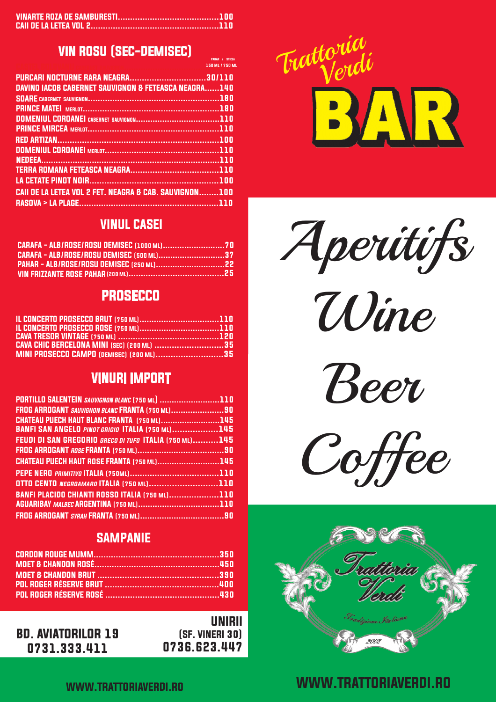### VIN ROSU (SEC-DEMISEC)

150 ML / 750 M PAHAR / STICLA

| о при пример, на селото на 150 ML / 750 ML                        |  |
|-------------------------------------------------------------------|--|
|                                                                   |  |
| DAVINO IACOB CABERNET SAUVIGNON & FETEASCA NEAGRA140              |  |
|                                                                   |  |
|                                                                   |  |
|                                                                   |  |
|                                                                   |  |
|                                                                   |  |
|                                                                   |  |
|                                                                   |  |
|                                                                   |  |
|                                                                   |  |
| <b>CAII DE LA LETEA VOL 2 FET. NEAGRA &amp; CAB. SAUVIGNON100</b> |  |
|                                                                   |  |
|                                                                   |  |

#### VINUL CASEI

| CARAFA - ALB/ROSE/ROSU DEMISEC (500 ML)37 |  |
|-------------------------------------------|--|
|                                           |  |
|                                           |  |

### **PROSECCO**

| <b>CAVA CHIC BERCELONA MINI (SEC) (200 ML) 35</b> |  |
|---------------------------------------------------|--|
| <b>MINI PROSECCO CAMPO (DEMISEC) (200 ML)35</b>   |  |

### VINURI IMPORT

| PORTILLO SALENTEIN SAUVIGNON BLANC (750 ML) 110         |  |
|---------------------------------------------------------|--|
| FROG ARROGANT SAUVIGNON BLANC FRANTA (750 ML)90         |  |
| <b>CHATEAU PUECH HAUT BLANC FRANTA</b> (750 ML)145      |  |
| <b>BANFI SAN ANGELO PINOT GRIGIO ITALIA (750 ML)145</b> |  |
| FEUDI DI SAN GREGORIO GRECO DI TUFO ITALIA (750 ML)145  |  |
|                                                         |  |
| CHATEAU PUECH HAUT ROSE FRANTA (750 ML)145              |  |
|                                                         |  |
| OTTO CENTO NEGROAMARO ITALIA (750 ML)110                |  |
| <b>BANFI PLACIDO CHIANTI ROSSO ITALIA (750 ML)110</b>   |  |
|                                                         |  |
|                                                         |  |

#### **SAMPANIE**

BD. AVIATORILOR 19 0731.333.411

UNIRII (SF. VINERI 30) 0736.623.447



Aperitifs

Wine

Beer

Coffee



## WWW.TRATTORIAVERDI.RO WWW.TRATTORIAVERDI.RO